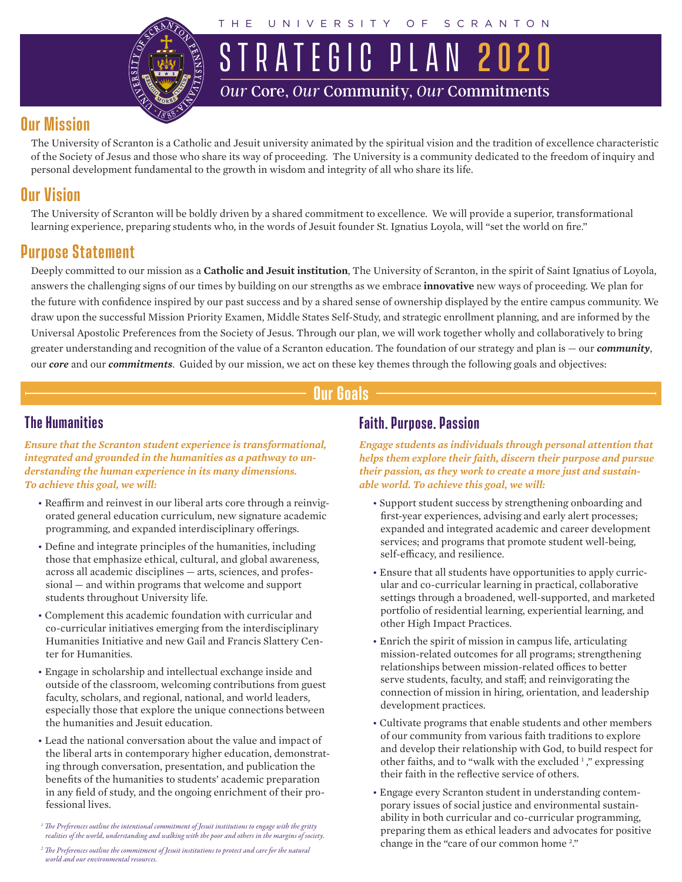

UNIVERSITY OF SCRANTON

STRATEGIC PLAN 202 *Our* Core, *Our* Community, *Our* Commitments

# **Our Mission**

The University of Scranton is a Catholic and Jesuit university animated by the spiritual vision and the tradition of excellence characteristic of the Society of Jesus and those who share its way of proceeding. The University is a community dedicated to the freedom of inquiry and personal development fundamental to the growth in wisdom and integrity of all who share its life.

# **Our Vision**

The University of Scranton will be boldly driven by a shared commitment to excellence. We will provide a superior, transformational learning experience, preparing students who, in the words of Jesuit founder St. Ignatius Loyola, will "set the world on fire."

# **Purpose Statement**

Deeply committed to our mission as a **Catholic and Jesuit institution**, The University of Scranton, in the spirit of Saint Ignatius of Loyola, answers the challenging signs of our times by building on our strengths as we embrace **innovative** new ways of proceeding. We plan for the future with confidence inspired by our past success and by a shared sense of ownership displayed by the entire campus community. We draw upon the successful Mission Priority Examen, Middle States Self-Study, and strategic enrollment planning, and are informed by the Universal Apostolic Preferences from the Society of Jesus. Through our plan, we will work together wholly and collaboratively to bring greater understanding and recognition of the value of a Scranton education. The foundation of our strategy and plan is — our *community*, our *core* and our *commitments*. Guided by our mission, we act on these key themes through the following goals and objectives:

# **Our Goals**

### **The Humanities**

*Ensure that the Scranton student experience is transformational, integrated and grounded in the humanities as a pathway to understanding the human experience in its many dimensions. To achieve this goal, we will:* 

- Reaffirm and reinvest in our liberal arts core through a reinvigorated general education curriculum, new signature academic programming, and expanded interdisciplinary offerings.
- Define and integrate principles of the humanities, including those that emphasize ethical, cultural, and global awareness, across all academic disciplines — arts, sciences, and professional — and within programs that welcome and support students throughout University life.
- Complement this academic foundation with curricular and co-curricular initiatives emerging from the interdisciplinary Humanities Initiative and new Gail and Francis Slattery Center for Humanities.
- Engage in scholarship and intellectual exchange inside and outside of the classroom, welcoming contributions from guest faculty, scholars, and regional, national, and world leaders, especially those that explore the unique connections between the humanities and Jesuit education.
- Lead the national conversation about the value and impact of the liberal arts in contemporary higher education, demonstrating through conversation, presentation, and publication the benefits of the humanities to students' academic preparation in any field of study, and the ongoing enrichment of their professional lives.
- *1 The Preferences outline the intentional commitment of Jesuit institutions to engage with the gritty realities of the world, understanding and walking with the poor and others in the margins of society.*
- *2 The Preferences outline the commitment of Jesuit institutions to protect and care for the natural world and our environmental resources.*

### **Faith, Purpose, Passion**

*Engage students as individuals through personal attention that helps them explore their faith, discern their purpose and pursue their passion, as they work to create a more just and sustainable world. To achieve this goal, we will:* 

- Support student success by strengthening onboarding and first-year experiences, advising and early alert processes; expanded and integrated academic and career development services; and programs that promote student well-being, self-efficacy, and resilience.
- Ensure that all students have opportunities to apply curricular and co-curricular learning in practical, collaborative settings through a broadened, well-supported, and marketed portfolio of residential learning, experiential learning, and other High Impact Practices.
- Enrich the spirit of mission in campus life, articulating mission-related outcomes for all programs; strengthening relationships between mission-related offices to better serve students, faculty, and staff; and reinvigorating the connection of mission in hiring, orientation, and leadership development practices.
- Cultivate programs that enable students and other members of our community from various faith traditions to explore and develop their relationship with God, to build respect for other faiths, and to "walk with the excluded<sup>1</sup>," expressing their faith in the reflective service of others.
- Engage every Scranton student in understanding contemporary issues of social justice and environmental sustainability in both curricular and co-curricular programming, preparing them as ethical leaders and advocates for positive change in the "care of our common home<sup>2</sup>."